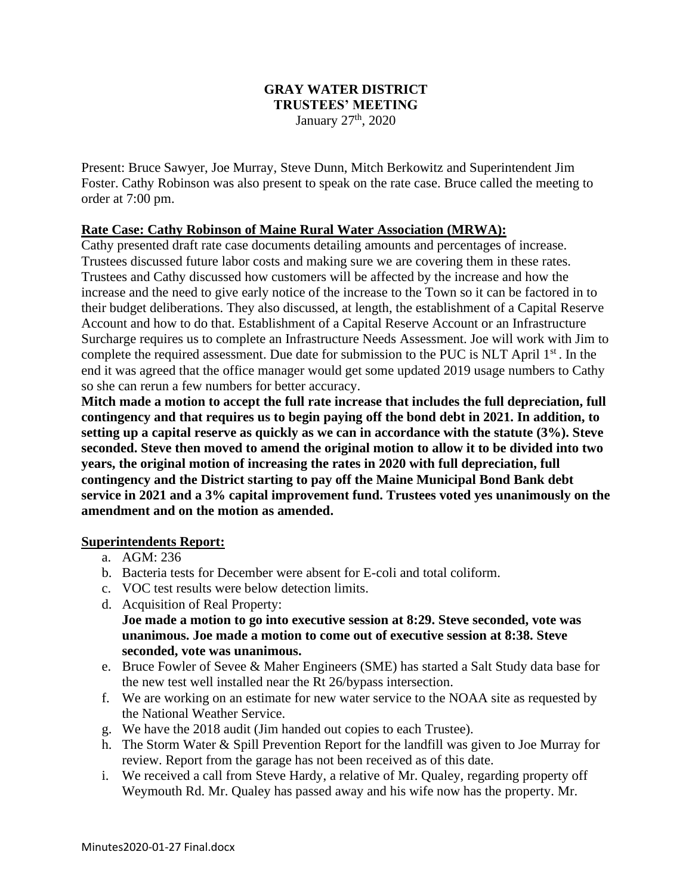### **GRAY WATER DISTRICT TRUSTEES' MEETING** January  $27<sup>th</sup>$ , 2020

Present: Bruce Sawyer, Joe Murray, Steve Dunn, Mitch Berkowitz and Superintendent Jim Foster. Cathy Robinson was also present to speak on the rate case. Bruce called the meeting to order at 7:00 pm.

## **Rate Case: Cathy Robinson of Maine Rural Water Association (MRWA):**

Cathy presented draft rate case documents detailing amounts and percentages of increase. Trustees discussed future labor costs and making sure we are covering them in these rates. Trustees and Cathy discussed how customers will be affected by the increase and how the increase and the need to give early notice of the increase to the Town so it can be factored in to their budget deliberations. They also discussed, at length, the establishment of a Capital Reserve Account and how to do that. Establishment of a Capital Reserve Account or an Infrastructure Surcharge requires us to complete an Infrastructure Needs Assessment. Joe will work with Jim to complete the required assessment. Due date for submission to the PUC is NLT April  $1<sup>st</sup>$ . In the end it was agreed that the office manager would get some updated 2019 usage numbers to Cathy so she can rerun a few numbers for better accuracy.

**Mitch made a motion to accept the full rate increase that includes the full depreciation, full contingency and that requires us to begin paying off the bond debt in 2021. In addition, to setting up a capital reserve as quickly as we can in accordance with the statute (3%). Steve seconded. Steve then moved to amend the original motion to allow it to be divided into two years, the original motion of increasing the rates in 2020 with full depreciation, full contingency and the District starting to pay off the Maine Municipal Bond Bank debt service in 2021 and a 3% capital improvement fund. Trustees voted yes unanimously on the amendment and on the motion as amended.**

### **Superintendents Report:**

- a. AGM: 236
- b. Bacteria tests for December were absent for E-coli and total coliform.
- c. VOC test results were below detection limits.
- d. Acquisition of Real Property:

**Joe made a motion to go into executive session at 8:29. Steve seconded, vote was unanimous. Joe made a motion to come out of executive session at 8:38. Steve seconded, vote was unanimous.**

- e. Bruce Fowler of Sevee & Maher Engineers (SME) has started a Salt Study data base for the new test well installed near the Rt 26/bypass intersection.
- f. We are working on an estimate for new water service to the NOAA site as requested by the National Weather Service.
- g. We have the 2018 audit (Jim handed out copies to each Trustee).
- h. The Storm Water & Spill Prevention Report for the landfill was given to Joe Murray for review. Report from the garage has not been received as of this date.
- i. We received a call from Steve Hardy, a relative of Mr. Qualey, regarding property off Weymouth Rd. Mr. Qualey has passed away and his wife now has the property. Mr.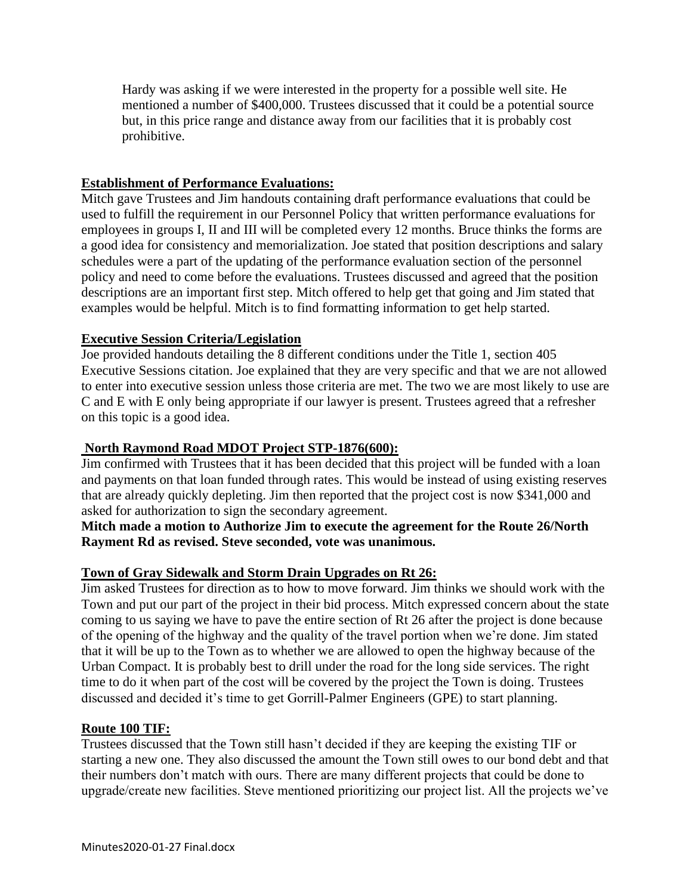Hardy was asking if we were interested in the property for a possible well site. He mentioned a number of \$400,000. Trustees discussed that it could be a potential source but, in this price range and distance away from our facilities that it is probably cost prohibitive.

# **Establishment of Performance Evaluations:**

Mitch gave Trustees and Jim handouts containing draft performance evaluations that could be used to fulfill the requirement in our Personnel Policy that written performance evaluations for employees in groups I, II and III will be completed every 12 months. Bruce thinks the forms are a good idea for consistency and memorialization. Joe stated that position descriptions and salary schedules were a part of the updating of the performance evaluation section of the personnel policy and need to come before the evaluations. Trustees discussed and agreed that the position descriptions are an important first step. Mitch offered to help get that going and Jim stated that examples would be helpful. Mitch is to find formatting information to get help started.

## **Executive Session Criteria/Legislation**

Joe provided handouts detailing the 8 different conditions under the Title 1, section 405 Executive Sessions citation. Joe explained that they are very specific and that we are not allowed to enter into executive session unless those criteria are met. The two we are most likely to use are C and E with E only being appropriate if our lawyer is present. Trustees agreed that a refresher on this topic is a good idea.

### **North Raymond Road MDOT Project STP-1876(600):**

Jim confirmed with Trustees that it has been decided that this project will be funded with a loan and payments on that loan funded through rates. This would be instead of using existing reserves that are already quickly depleting. Jim then reported that the project cost is now \$341,000 and asked for authorization to sign the secondary agreement.

## **Mitch made a motion to Authorize Jim to execute the agreement for the Route 26/North Rayment Rd as revised. Steve seconded, vote was unanimous.**

### **Town of Gray Sidewalk and Storm Drain Upgrades on Rt 26:**

Jim asked Trustees for direction as to how to move forward. Jim thinks we should work with the Town and put our part of the project in their bid process. Mitch expressed concern about the state coming to us saying we have to pave the entire section of Rt 26 after the project is done because of the opening of the highway and the quality of the travel portion when we're done. Jim stated that it will be up to the Town as to whether we are allowed to open the highway because of the Urban Compact. It is probably best to drill under the road for the long side services. The right time to do it when part of the cost will be covered by the project the Town is doing. Trustees discussed and decided it's time to get Gorrill-Palmer Engineers (GPE) to start planning.

### **Route 100 TIF:**

Trustees discussed that the Town still hasn't decided if they are keeping the existing TIF or starting a new one. They also discussed the amount the Town still owes to our bond debt and that their numbers don't match with ours. There are many different projects that could be done to upgrade/create new facilities. Steve mentioned prioritizing our project list. All the projects we've